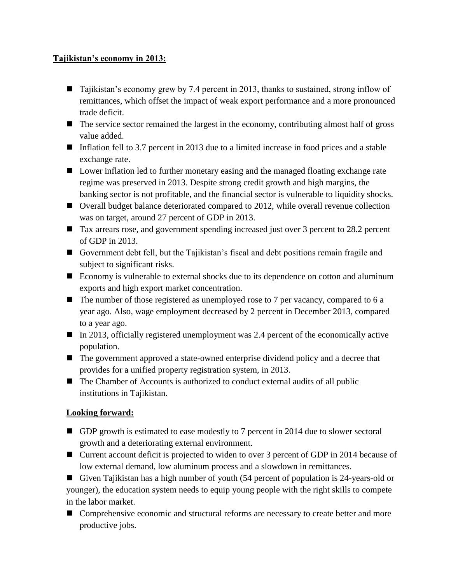## **Tajikistan's economy in 2013:**

- Tajikistan's economy grew by 7.4 percent in 2013, thanks to sustained, strong inflow of remittances, which offset the impact of weak export performance and a more pronounced trade deficit.
- The service sector remained the largest in the economy, contributing almost half of gross value added.
- Inflation fell to 3.7 percent in 2013 due to a limited increase in food prices and a stable exchange rate.
- **Lower inflation led to further monetary easing and the managed floating exchange rate** regime was preserved in 2013. Despite strong credit growth and high margins, the banking sector is not profitable, and the financial sector is vulnerable to liquidity shocks.
- Overall budget balance deteriorated compared to 2012, while overall revenue collection was on target, around 27 percent of GDP in 2013.
- Tax arrears rose, and government spending increased just over 3 percent to 28.2 percent of GDP in 2013.
- Government debt fell, but the Tajikistan's fiscal and debt positions remain fragile and subject to significant risks.
- Economy is vulnerable to external shocks due to its dependence on cotton and aluminum exports and high export market concentration.
- $\blacksquare$  The number of those registered as unemployed rose to 7 per vacancy, compared to 6 a year ago. Also, wage employment decreased by 2 percent in December 2013, compared to a year ago.
- $\blacksquare$  In 2013, officially registered unemployment was 2.4 percent of the economically active population.
- The government approved a state-owned enterprise dividend policy and a decree that provides for a unified property registration system, in 2013.
- The Chamber of Accounts is authorized to conduct external audits of all public institutions in Tajikistan.

## **Looking forward:**

- GDP growth is estimated to ease modestly to 7 percent in 2014 due to slower sectoral growth and a deteriorating external environment.
- Current account deficit is projected to widen to over 3 percent of GDP in 2014 because of low external demand, low aluminum process and a slowdown in remittances.

Given Tajikistan has a high number of youth (54 percent of population is 24-years-old or younger), the education system needs to equip young people with the right skills to compete in the labor market.

■ Comprehensive economic and structural reforms are necessary to create better and more productive jobs.